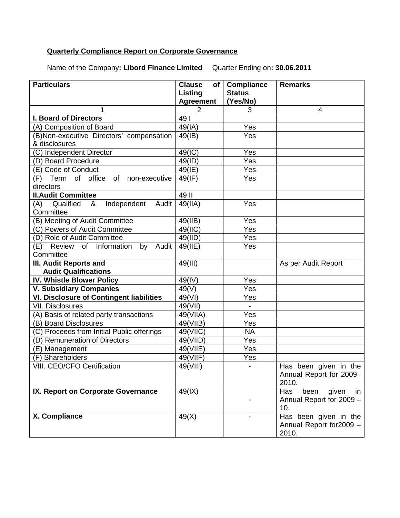## **Quarterly Compliance Report on Corporate Governance**

Name of the Company**: Libord Finance Limited** Quarter Ending on**: 30.06.2011**

| <b>Particulars</b>                              | <b>Clause</b><br>of | <b>Compliance</b> | <b>Remarks</b>             |
|-------------------------------------------------|---------------------|-------------------|----------------------------|
|                                                 | Listing             | <b>Status</b>     |                            |
|                                                 | <b>Agreement</b>    | (Yes/No)          |                            |
| 1                                               | $\overline{2}$      | 3                 | 4                          |
| <b>I. Board of Directors</b>                    | 49                  |                   |                            |
| (A) Composition of Board                        | 49(IA)              | Yes               |                            |
| (B)Non-executive Directors' compensation        | 49(B)               | Yes               |                            |
| & disclosures                                   |                     |                   |                            |
| (C) Independent Director                        | 49(IC)              | Yes               |                            |
| (D) Board Procedure                             | 49(ID)              | Yes               |                            |
| (E) Code of Conduct                             | 49(IE)              | Yes               |                            |
| of non-executive<br>(F) Term of office          | 49(IF)              | Yes               |                            |
| directors                                       |                     |                   |                            |
| <b>II.Audit Committee</b>                       | 49 II               |                   |                            |
| Qualified<br>Independent<br>(A)<br>Audit<br>&   | 49(IIA)             | Yes               |                            |
| Committee                                       |                     |                   |                            |
| (B) Meeting of Audit Committee                  | 49(IIB)             | Yes               |                            |
| (C) Powers of Audit Committee                   | 49(IIC)             | Yes               |                            |
| (D) Role of Audit Committee                     | 49(IID)             | Yes               |                            |
| Review of Information<br>by<br>Audit<br>(E)     | 49(IIE)             | Yes               |                            |
| Committee                                       |                     |                   |                            |
| III. Audit Reports and                          | 49(III)             |                   | As per Audit Report        |
| <b>Audit Qualifications</b>                     |                     |                   |                            |
| IV. Whistle Blower Policy                       | 49(IV)              | Yes               |                            |
| <b>V. Subsidiary Companies</b>                  | 49(V)               | Yes               |                            |
| <b>VI. Disclosure of Contingent liabilities</b> | 49(VI)              | Yes               |                            |
| <b>VII. Disclosures</b>                         | 49(VII)             |                   |                            |
| (A) Basis of related party transactions         | 49(VIIA)            | Yes               |                            |
| (B) Board Disclosures                           | 49(VIIB)            | Yes               |                            |
| (C) Proceeds from Initial Public offerings      | 49(VIIC)            | <b>NA</b>         |                            |
| (D) Remuneration of Directors                   | 49(VIID)            | Yes               |                            |
| (E) Management                                  | 49(VIIE)            | Yes               |                            |
| (F) Shareholders                                | 49(VIIF)            | Yes               |                            |
| VIII. CEO/CFO Certification                     | 49(VIII)            | $\blacksquare$    | Has been given in the      |
|                                                 |                     |                   | Annual Report for 2009-    |
|                                                 |                     |                   | 2010.                      |
| IX. Report on Corporate Governance              | 49(1X)              |                   | Has<br>been<br>given<br>in |
|                                                 |                     |                   | Annual Report for 2009 -   |
|                                                 |                     |                   | 10.                        |
| X. Compliance                                   | 49(X)               |                   | Has been given in the      |
|                                                 |                     |                   | Annual Report for 2009 -   |
|                                                 |                     |                   | 2010.                      |